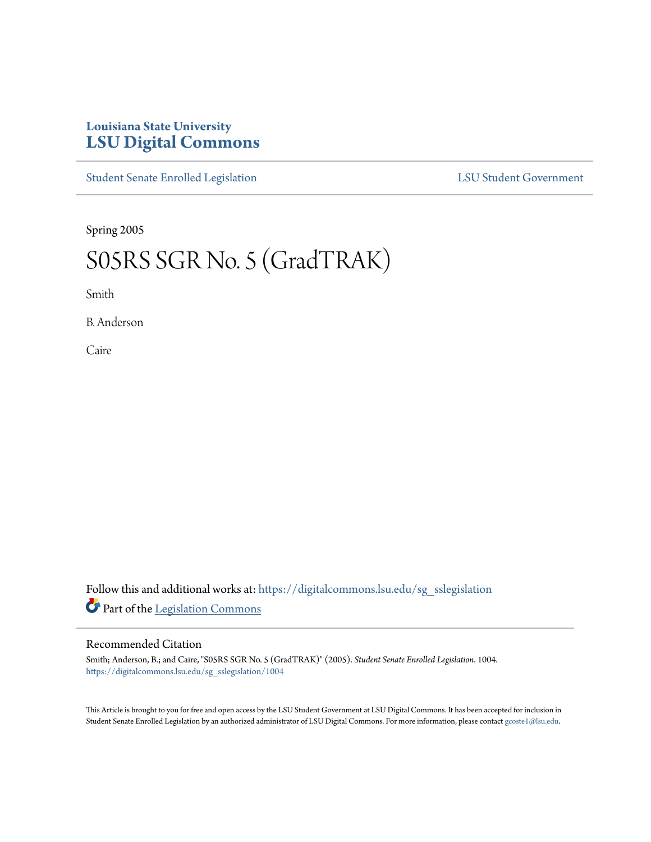## **Louisiana State University [LSU Digital Commons](https://digitalcommons.lsu.edu?utm_source=digitalcommons.lsu.edu%2Fsg_sslegislation%2F1004&utm_medium=PDF&utm_campaign=PDFCoverPages)**

[Student Senate Enrolled Legislation](https://digitalcommons.lsu.edu/sg_sslegislation?utm_source=digitalcommons.lsu.edu%2Fsg_sslegislation%2F1004&utm_medium=PDF&utm_campaign=PDFCoverPages) [LSU Student Government](https://digitalcommons.lsu.edu/sg?utm_source=digitalcommons.lsu.edu%2Fsg_sslegislation%2F1004&utm_medium=PDF&utm_campaign=PDFCoverPages)

Spring 2005

## S05RS SGR No. 5 (GradTRAK)

Smith

B. Anderson

Caire

Follow this and additional works at: [https://digitalcommons.lsu.edu/sg\\_sslegislation](https://digitalcommons.lsu.edu/sg_sslegislation?utm_source=digitalcommons.lsu.edu%2Fsg_sslegislation%2F1004&utm_medium=PDF&utm_campaign=PDFCoverPages) Part of the [Legislation Commons](http://network.bepress.com/hgg/discipline/859?utm_source=digitalcommons.lsu.edu%2Fsg_sslegislation%2F1004&utm_medium=PDF&utm_campaign=PDFCoverPages)

## Recommended Citation

Smith; Anderson, B.; and Caire, "S05RS SGR No. 5 (GradTRAK)" (2005). *Student Senate Enrolled Legislation*. 1004. [https://digitalcommons.lsu.edu/sg\\_sslegislation/1004](https://digitalcommons.lsu.edu/sg_sslegislation/1004?utm_source=digitalcommons.lsu.edu%2Fsg_sslegislation%2F1004&utm_medium=PDF&utm_campaign=PDFCoverPages)

This Article is brought to you for free and open access by the LSU Student Government at LSU Digital Commons. It has been accepted for inclusion in Student Senate Enrolled Legislation by an authorized administrator of LSU Digital Commons. For more information, please contact [gcoste1@lsu.edu.](mailto:gcoste1@lsu.edu)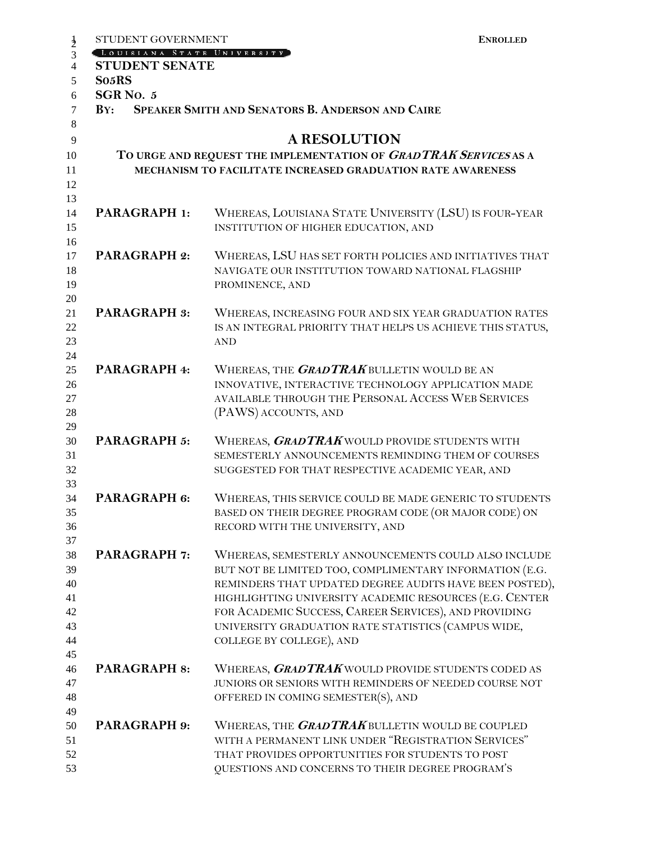| STUDENT GOVERNMENT<br>$\frac{1}{2}$         | <b>ENROLLED</b>                                                  |  |
|---------------------------------------------|------------------------------------------------------------------|--|
| LOUISIANA STATE UNIVERSITY<br>3             |                                                                  |  |
| $\overline{4}$<br><b>STUDENT SENATE</b>     |                                                                  |  |
| So <sub>5</sub> RS<br>5                     |                                                                  |  |
| SGR <sub>NO.5</sub><br>6                    |                                                                  |  |
| $\overline{7}$<br>$\mathbf{B} \mathbf{Y}$ : | SPEAKER SMITH AND SENATORS B. ANDERSON AND CAIRE                 |  |
| 8                                           | <b>A RESOLUTION</b>                                              |  |
| 9<br>10                                     | TO URGE AND REQUEST THE IMPLEMENTATION OF GRADTRAK SERVICES AS A |  |
| 11                                          | MECHANISM TO FACILITATE INCREASED GRADUATION RATE AWARENESS      |  |
| 12                                          |                                                                  |  |
| 13                                          |                                                                  |  |
| PARAGRAPH 1:<br>14                          | WHEREAS, LOUISIANA STATE UNIVERSITY (LSU) IS FOUR-YEAR           |  |
| 15                                          | INSTITUTION OF HIGHER EDUCATION, AND                             |  |
| 16                                          |                                                                  |  |
| <b>PARAGRAPH 2:</b><br>17                   | WHEREAS, LSU HAS SET FORTH POLICIES AND INITIATIVES THAT         |  |
| 18                                          | NAVIGATE OUR INSTITUTION TOWARD NATIONAL FLAGSHIP                |  |
| 19                                          | PROMINENCE, AND                                                  |  |
| 20<br><b>PARAGRAPH 3:</b><br>21             | WHEREAS, INCREASING FOUR AND SIX YEAR GRADUATION RATES           |  |
| 22                                          | IS AN INTEGRAL PRIORITY THAT HELPS US ACHIEVE THIS STATUS,       |  |
| 23                                          | <b>AND</b>                                                       |  |
| 24                                          |                                                                  |  |
| PARAGRAPH 4:<br>25                          | WHEREAS, THE <b>GRADTRAK</b> BULLETIN WOULD BE AN                |  |
| 26                                          | INNOVATIVE, INTERACTIVE TECHNOLOGY APPLICATION MADE              |  |
| 27                                          | AVAILABLE THROUGH THE PERSONAL ACCESS WEB SERVICES               |  |
| 28                                          | (PAWS) ACCOUNTS, AND                                             |  |
| 29                                          |                                                                  |  |
| <b>PARAGRAPH 5:</b><br>30                   | WHEREAS, <b>GRADTRAK</b> WOULD PROVIDE STUDENTS WITH             |  |
| 31                                          | SEMESTERLY ANNOUNCEMENTS REMINDING THEM OF COURSES               |  |
| 32<br>33                                    | SUGGESTED FOR THAT RESPECTIVE ACADEMIC YEAR, AND                 |  |
| PARAGRAPH 6:<br>34                          | WHEREAS, THIS SERVICE COULD BE MADE GENERIC TO STUDENTS          |  |
| 35                                          | BASED ON THEIR DEGREE PROGRAM CODE (OR MAJOR CODE) ON            |  |
| 36                                          | RECORD WITH THE UNIVERSITY, AND                                  |  |
| 37                                          |                                                                  |  |
| <b>PARAGRAPH 7:</b><br>38                   | WHEREAS, SEMESTERLY ANNOUNCEMENTS COULD ALSO INCLUDE             |  |
| 39                                          | BUT NOT BE LIMITED TOO, COMPLIMENTARY INFORMATION (E.G.          |  |
| 40                                          | REMINDERS THAT UPDATED DEGREE AUDITS HAVE BEEN POSTED),          |  |
| 41                                          | HIGHLIGHTING UNIVERSITY ACADEMIC RESOURCES (E.G. CENTER          |  |
| 42                                          | FOR ACADEMIC SUCCESS, CAREER SERVICES), AND PROVIDING            |  |
| 43                                          | UNIVERSITY GRADUATION RATE STATISTICS (CAMPUS WIDE,              |  |
| 44<br>45                                    | COLLEGE BY COLLEGE), AND                                         |  |
| <b>PARAGRAPH 8:</b><br>46                   | WHEREAS, <b>GRADTRAK</b> WOULD PROVIDE STUDENTS CODED AS         |  |
| 47                                          | JUNIORS OR SENIORS WITH REMINDERS OF NEEDED COURSE NOT           |  |
| 48                                          | OFFERED IN COMING SEMESTER(S), AND                               |  |
| 49                                          |                                                                  |  |
| PARAGRAPH 9:<br>50                          | WHEREAS, THE GRADTRAK BULLETIN WOULD BE COUPLED                  |  |
| 51                                          | WITH A PERMANENT LINK UNDER "REGISTRATION SERVICES"              |  |
| 52                                          | THAT PROVIDES OPPORTUNITIES FOR STUDENTS TO POST                 |  |
| 53                                          | QUESTIONS AND CONCERNS TO THEIR DEGREE PROGRAM'S                 |  |
|                                             |                                                                  |  |